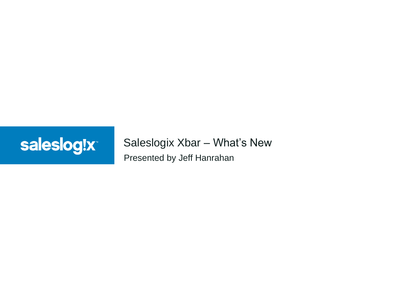

### Presented by Jeff Hanrahan Saleslogix Xbar – What's New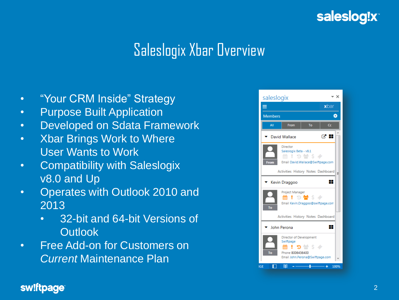

## Saleslogix Xbar Overview

- "Your CRM Inside" Strategy
- Purpose Built Application
- Developed on Sdata Framework
- Xbar Brings Work to Where User Wants to Work
- Compatibility with Saleslogix v8.0 and Up
- Operates with Outlook 2010 and 2013
	- 32-bit and 64-bit Versions of **Outlook**
- Free Add-on for Customers on *Current* Maintenance Plan



#### sw!ftpage®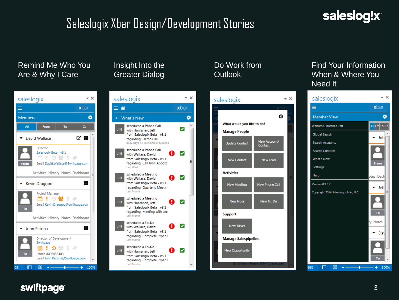## SaleslogixXbar Design/Development Stories

## saleslog!x



#### sw!ftpage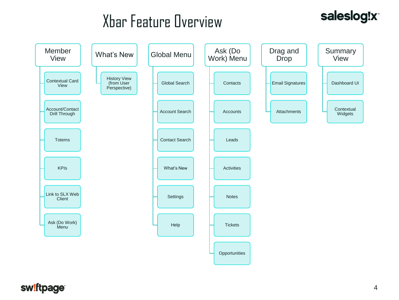# Xbar Feature Overview

### saleslog!x



#### sw!ftpage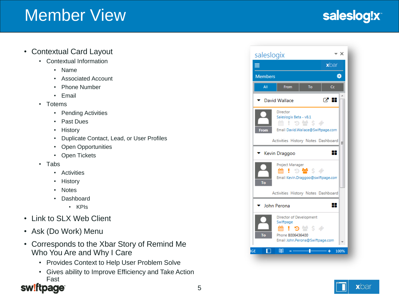## Member View

## saleslog!x

#### • Contextual Card Layout

- Contextual Information
	- Name
	- Associated Account
	- Phone Number
	- Email
- Totems
	- Pending Activities
	- Past Dues
	- History
	- Duplicate Contact, Lead, or User Profiles
	- Open Opportunities
	- Open Tickets
- Tabs
	- Activities
	- History
	- Notes
	- Dashboard
		- KPIs
- Link to SLX Web Client
- Ask (Do Work) Menu
- Corresponds to the Xbar Story of Remind Me Who You Are and Why I Care
	- Provides Context to Help User Problem Solve
	- Gives ability to Improve Efficiency and Take Action Fast



| saleslogix                                                                                      |                                                                                                              | - x       |
|-------------------------------------------------------------------------------------------------|--------------------------------------------------------------------------------------------------------------|-----------|
| ≡                                                                                               |                                                                                                              | xbar      |
| <b>Members</b><br>o                                                                             |                                                                                                              |           |
| All                                                                                             | From<br>To                                                                                                   | Cc        |
| 명 전<br>David Wallace                                                                            |                                                                                                              |           |
| Director<br>Saleslogix Beta - v8.1<br>19營54<br>Email David.Wallace@Swiftpage.com<br><b>From</b> |                                                                                                              |           |
| Activities History Notes Dashboard<br>Ξ                                                         |                                                                                                              |           |
| 88<br>Kevin Draggoo                                                                             |                                                                                                              |           |
| To                                                                                              | Project Manager<br><b>! 5형 \$ <math>\phi</math></b><br>Email Kevin.Draggoo@swiftpage.com                     |           |
|                                                                                                 | Activities History Notes Dashboard                                                                           |           |
| ┺<br>John Perona                                                                                |                                                                                                              |           |
| To                                                                                              | Director of Development<br>Swiftpage<br><b>曲!つ曇ゟ∥</b><br>Phone 8006436400<br>Email John.Perona@Swiftpage.com |           |
| <b>IGE</b>                                                                                      | 圍                                                                                                            | 100%<br>٠ |

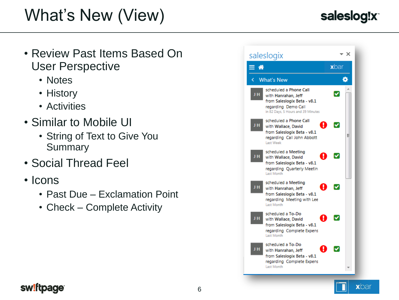# What's New (View)

## saleslog!x

- Review Past Items Based On User Perspective
	- Notes
	- History
	- Activities
- Similar to Mobile UI
	- String of Text to Give You **Summary**
- Social Thread Feel
- Icons
	- Past Due Exclamation Point
	- Check Complete Activity



### sw!ftpage<sup>®</sup>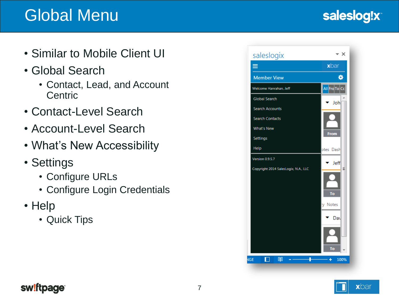## Global Menu

## saleslog!x

- Similar to Mobile Client UI
- Global Search
	- Contact, Lead, and Account **Centric**
- Contact-Level Search
- Account-Level Search
- What's New Accessibility
- Settings
	- Configure URLs
	- Configure Login Credentials
- Help
	- Quick Tips





### sw!ftpage<sup>®</sup>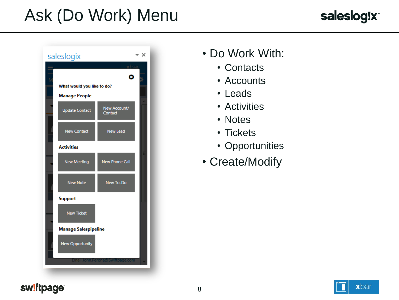# Ask (Do Work) Menu





- Do Work With:
	- Contacts
	- Accounts
	- Leads
	- Activities
	- Notes
	- Tickets
	- Opportunities
- Create/Modify

#### sw!ftpage

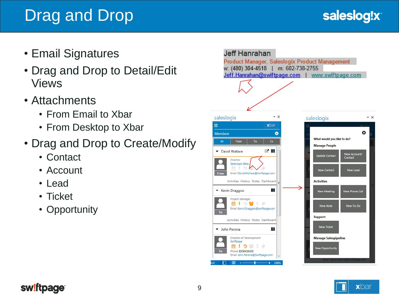## Drag and Drop

- Email Signatures
- Drag and Drop to Detail/Edit Views
- Attachments
	- From Email to Xbar
	- From Desktop to Xbar
- Drag and Drop to Create/Modify
	- Contact
	- Account
	- Lead
	- Ticket
	- Opportunity





#### sw!ftpage<sup>®</sup>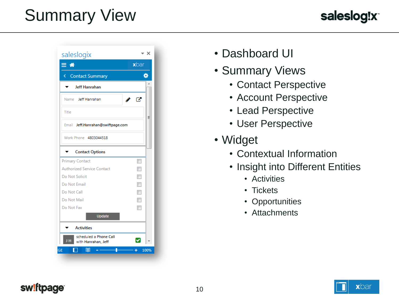# Summary View





- Dashboard UI
- Summary Views
	- Contact Perspective
	- Account Perspective
	- Lead Perspective
	- User Perspective
- Widget
	- Contextual Information
	- Insight into Different Entities
		- Activities
		- Tickets
		- Opportunities
		- Attachments

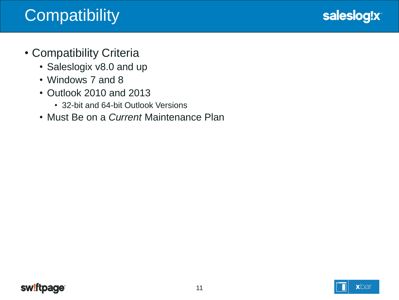# **Compatibility**



- Compatibility Criteria
	- Saleslogix v8.0 and up
	- Windows 7 and 8
	- Outlook 2010 and 2013
		- 32-bit and 64-bit Outlook Versions
	- Must Be on a *Current* Maintenance Plan